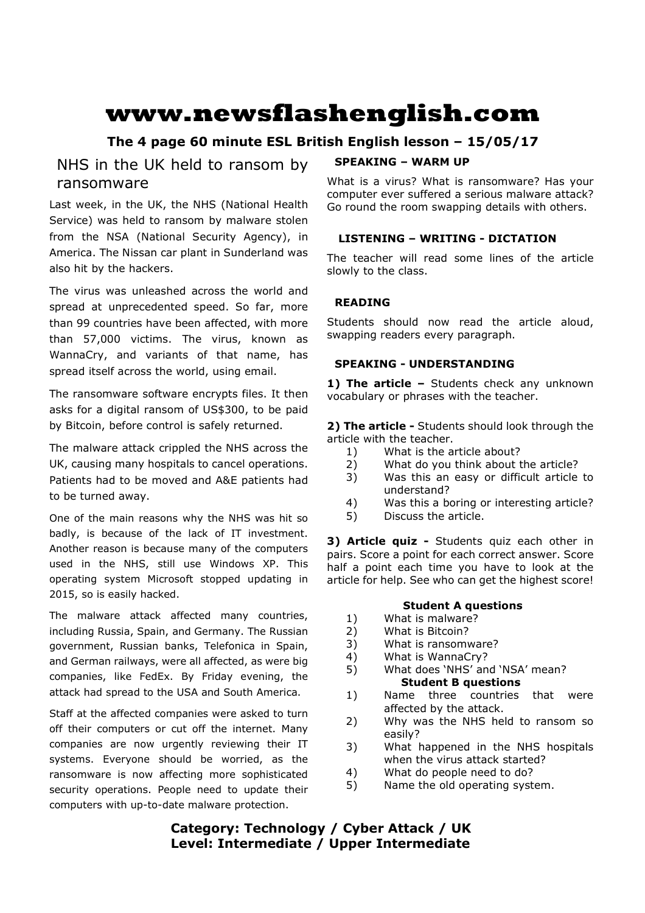# **www.newsflashenglish.com**

# **The 4 page 60 minute ESL British English lesson – 15/05/17**

# NHS in the UK held to ransom by ransomware

Last week, in the UK, the NHS (National Health Service) was held to ransom by malware stolen from the NSA (National Security Agency), in America. The Nissan car plant in Sunderland was also hit by the hackers.

The virus was unleashed across the world and spread at unprecedented speed. So far, more than 99 countries have been affected, with more than 57,000 victims. The virus, known as WannaCry, and variants of that name, has spread itself across the world, using email.

The ransomware software encrypts files. It then asks for a digital ransom of US\$300, to be paid by Bitcoin, before control is safely returned.

The malware attack crippled the NHS across the UK, causing many hospitals to cancel operations. Patients had to be moved and A&E patients had to be turned away.

One of the main reasons why the NHS was hit so badly, is because of the lack of IT investment. Another reason is because many of the computers used in the NHS, still use Windows XP. This operating system Microsoft stopped updating in 2015, so is easily hacked.

The malware attack affected many countries, including Russia, Spain, and Germany. The Russian government, Russian banks, Telefonica in Spain, and German railways, were all affected, as were big companies, like FedEx. By Friday evening, the attack had spread to the USA and South America.

Staff at the affected companies were asked to turn off their computers or cut off the internet. Many companies are now urgently reviewing their IT systems. Everyone should be worried, as the ransomware is now affecting more sophisticated security operations. People need to update their computers with up-to-date malware protection.

#### **SPEAKING – WARM UP**

What is a virus? What is ransomware? Has your computer ever suffered a serious malware attack? Go round the room swapping details with others.

### **LISTENING – WRITING - DICTATION**

The teacher will read some lines of the article slowly to the class.

#### **READING**

Students should now read the article aloud, swapping readers every paragraph.

#### **SPEAKING - UNDERSTANDING**

1) The article - Students check any unknown vocabulary or phrases with the teacher.

**2) The article -** Students should look through the article with the teacher.

- 1) What is the article about?
- 2) What do you think about the article?
- 3) Was this an easy or difficult article to understand?
- 4) Was this a boring or interesting article?
- 5) Discuss the article.

**3) Article quiz -** Students quiz each other in pairs. Score a point for each correct answer. Score half a point each time you have to look at the article for help. See who can get the highest score!

#### **Student A questions**

- 1) What is malware?
- 2) What is Bitcoin?
- 3) What is ransomware?
- 4) What is WannaCry?
- 5) What does 'NHS' and 'NSA' mean? **Student B questions**
- 1) Name three countries that were affected by the attack.
- 2) Why was the NHS held to ransom so easily?
- 3) What happened in the NHS hospitals when the virus attack started?
- 4) What do people need to do?
- 5) Name the old operating system.

**Category: Technology / Cyber Attack / UK Level: Intermediate / Upper Intermediate**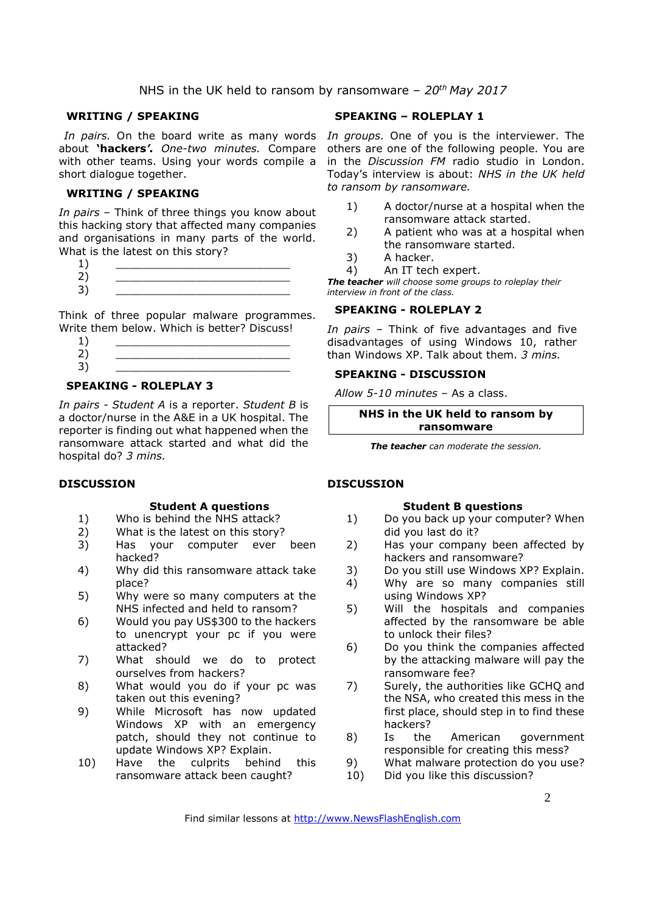#### **WRITING / SPEAKING**

about **'hackers***'. One-two minutes.* Compare with other teams. Using your words compile a short dialogue together.

#### **WRITING / SPEAKING**

*In pairs* – Think of three things you know about this hacking story that affected many companies and organisations in many parts of the world. What is the latest on this story?

- $1)$   $\qquad \qquad$ 2) \_\_\_\_\_\_\_\_\_\_\_\_\_\_\_\_\_\_\_\_\_\_\_\_\_\_
- 3) \_\_\_\_\_\_\_\_\_\_\_\_\_\_\_\_\_\_\_\_\_\_\_\_\_\_

Think of three popular malware programmes. Write them below. Which is better? Discuss!

| $\sim$                  |  |
|-------------------------|--|
| $\overline{\mathbf{c}}$ |  |
| ∍<br>ر                  |  |
|                         |  |

#### **SPEAKING - ROLEPLAY 3**

*In pairs - Student A* is a reporter. *Student B* is a doctor/nurse in the A&E in a UK hospital. The reporter is finding out what happened when the ransomware attack started and what did the hospital do? *3 mins.* 

#### **DISCUSSION**

#### **Student A questions**

- 1) Who is behind the NHS attack?
- 2) What is the latest on this story?
- 3) Has your computer ever been hacked?
- 4) Why did this ransomware attack take place?
- 5) Why were so many computers at the NHS infected and held to ransom?
- 6) Would you pay US\$300 to the hackers to unencrypt your pc if you were attacked?
- 7) What should we do to protect ourselves from hackers?
- 8) What would you do if your pc was taken out this evening?
- 9) While Microsoft has now updated Windows XP with an emergency patch, should they not continue to update Windows XP? Explain.
- 10) Have the culprits behind this ransomware attack been caught?

#### **SPEAKING – ROLEPLAY 1**

In pairs. On the board write as many words In groups. One of you is the interviewer. The others are one of the following people. You are in the *Discussion FM* radio studio in London. Today's interview is about: *NHS in the UK held to ransom by ransomware.*

- 1) A doctor/nurse at a hospital when the ransomware attack started.
- 2) A patient who was at a hospital when the ransomware started.
- 3) A hacker.
- 4) An IT tech expert.

*The teacher will choose some groups to roleplay their interview in front of the class.* 

#### **SPEAKING - ROLEPLAY 2**

*In pairs –* Think of five advantages and five disadvantages of using Windows 10, rather than Windows XP. Talk about them. *3 mins.* 

#### **SPEAKING - DISCUSSION**

*Allow 5-10 minutes* – As a class.

**NHS in the UK held to ransom by ransomware** 

*The teacher can moderate the session.*

#### **DISCUSSION**

#### **Student B questions**

- 1) Do you back up your computer? When did you last do it?
- 2) Has your company been affected by hackers and ransomware?
- 3) Do you still use Windows XP? Explain.
- 4) Why are so many companies still using Windows XP?
- 5) Will the hospitals and companies affected by the ransomware be able to unlock their files?
- 6) Do you think the companies affected by the attacking malware will pay the ransomware fee?
- 7) Surely, the authorities like GCHQ and the NSA, who created this mess in the first place, should step in to find these hackers?
- 8) Is the American government responsible for creating this mess?
- 9) What malware protection do you use?
- 10) Did you like this discussion?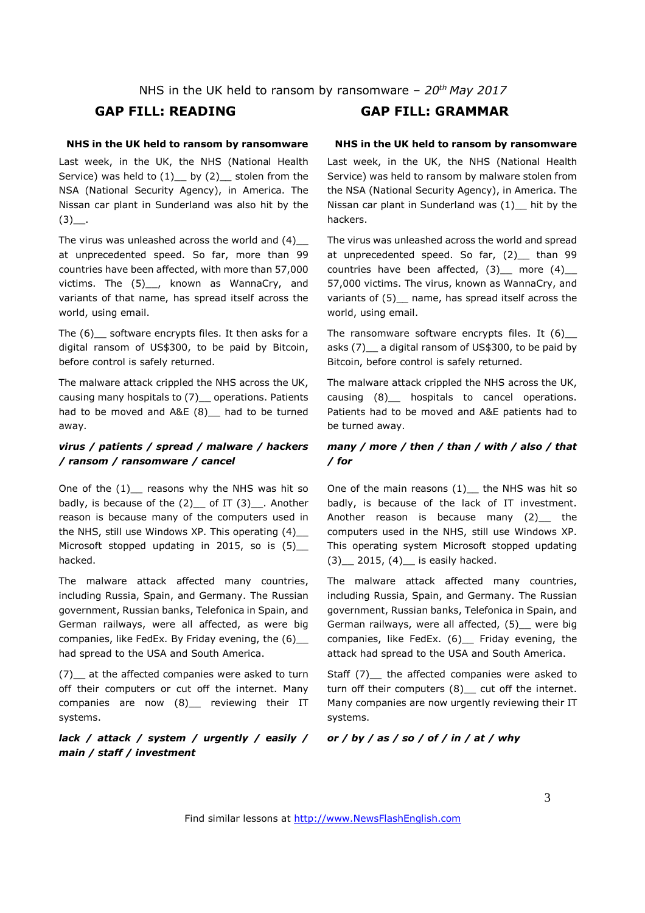## **GAP FILL: READING GAP FILL: GRAMMAR**

#### **NHS in the UK held to ransom by ransomware**

Last week, in the UK, the NHS (National Health Service) was held to  $(1)$  by  $(2)$  stolen from the NSA (National Security Agency), in America. The Nissan car plant in Sunderland was also hit by the  $(3)$ .

The virus was unleashed across the world and (4)\_\_ at unprecedented speed. So far, more than 99 countries have been affected, with more than 57,000 victims. The (5)\_, known as WannaCry, and variants of that name, has spread itself across the world, using email.

The (6)\_\_ software encrypts files. It then asks for a digital ransom of US\$300, to be paid by Bitcoin, before control is safely returned.

The malware attack crippled the NHS across the UK, causing many hospitals to (7) \_ operations. Patients had to be moved and A&E (8) had to be turned away.

#### *virus / patients / spread / malware / hackers / ransom / ransomware / cancel*

One of the  $(1)$  reasons why the NHS was hit so badly, is because of the  $(2)$  of IT  $(3)$ . Another reason is because many of the computers used in the NHS, still use Windows XP. This operating (4)\_\_ Microsoft stopped updating in 2015, so is (5) hacked.

The malware attack affected many countries, including Russia, Spain, and Germany. The Russian government, Russian banks, Telefonica in Spain, and German railways, were all affected, as were big companies, like FedEx. By Friday evening, the (6)\_\_ had spread to the USA and South America.

(7) at the affected companies were asked to turn off their computers or cut off the internet. Many companies are now (8) reviewing their IT systems.

*lack / attack / system / urgently / easily / main / staff / investment* 

#### **NHS in the UK held to ransom by ransomware**

Last week, in the UK, the NHS (National Health Service) was held to ransom by malware stolen from the NSA (National Security Agency), in America. The Nissan car plant in Sunderland was (1)\_\_ hit by the hackers.

The virus was unleashed across the world and spread at unprecedented speed. So far, (2) than 99 countries have been affected,  $(3)$  more  $(4)$ 57,000 victims. The virus, known as WannaCry, and variants of (5) name, has spread itself across the world, using email.

The ransomware software encrypts files. It  $(6)$ asks (7)\_\_ a digital ransom of US\$300, to be paid by Bitcoin, before control is safely returned.

The malware attack crippled the NHS across the UK, causing (8)\_\_ hospitals to cancel operations. Patients had to be moved and A&E patients had to be turned away.

#### *many / more / then / than / with / also / that / for*

One of the main reasons  $(1)$  the NHS was hit so badly, is because of the lack of IT investment. Another reason is because many (2) the computers used in the NHS, still use Windows XP. This operating system Microsoft stopped updating  $(3)$  2015,  $(4)$  is easily hacked.

The malware attack affected many countries, including Russia, Spain, and Germany. The Russian government, Russian banks, Telefonica in Spain, and German railways, were all affected, (5)\_\_ were big companies, like FedEx. (6)\_\_ Friday evening, the attack had spread to the USA and South America.

Staff (7) the affected companies were asked to turn off their computers (8)\_ cut off the internet. Many companies are now urgently reviewing their IT systems.

#### *or / by / as / so / of / in / at / why*